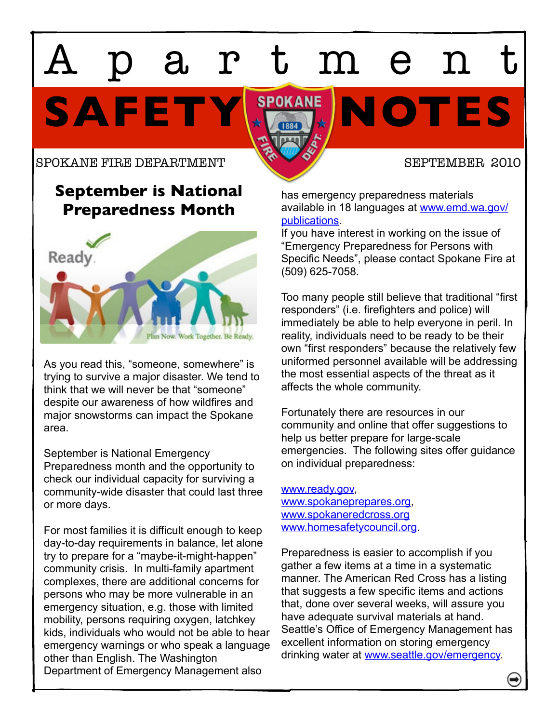# SAFETY **SPOKANE** NOTES artmen

### SPOKANE FIRE DEPARTMENT SEPTEMBER 2010

# **September is National Preparedness Month**



As you read this, "someone, somewhere" is trying to survive a major disaster. We tend to think that we will never be that "someone" despite our awareness of how wildfires and major snowstorms can impact the Spokane area.

September is National Emergency Preparedness month and the opportunity to check our individual capacity for surviving a community-wide disaster that could last three or more days.

For most families it is difficult enough to keep day-to-day requirements in balance, let alone try to prepare for a "maybe-it-might-happen" community crisis. In multi-family apartment complexes, there are additional concerns for persons who may be more vulnerable in an emergency situation, e.g. those with limited mobility, persons requiring oxygen, latchkey kids, individuals who would not be able to hear emergency warnings or who speak a language other than English. The Washington Department of Emergency Management also

has emergency preparedness materials available in 18 languages at [www.emd.wa.gov/](http://www.emd.wa.gov/publications) [publications.](http://www.emd.wa.gov/publications)

If you have interest in working on the issue of "Emergency Preparedness for Persons with Specific Needs", please contact Spokane Fire at (509) 625-7058.

Too many people still believe that traditional "first responders" (i.e. firefighters and police) will immediately be able to help everyone in peril. In reality, individuals need to be ready to be their own "first responders" because the relatively few uniformed personnel available will be addressing the most essential aspects of the threat as it affects the whole community.

Fortunately there are resources in our community and online that offer suggestions to help us better prepare for large-scale emergencies. The following sites offer guidance on individual preparedness:

[www.ready.gov,](http://www.ready.gov) [www.spokaneprepares.org,](http://www.spokaneprepares.org) [www.spokaneredcross.org](http://www.spokaneredcross.org) [www.homesafetycouncil.org.](http://www.homesafetycouncil.org)

Preparedness is easier to accomplish if you gather a few items at a time in a systematic manner. The American Red Cross has a listing that suggests a few specific items and actions that, done over several weeks, will assure you have adequate survival materials at hand. Seattle's Office of Emergency Management has excellent information on storing emergency drinking water at [www.seattle.gov/emergency.](http://www.seattle.gov/emergency)